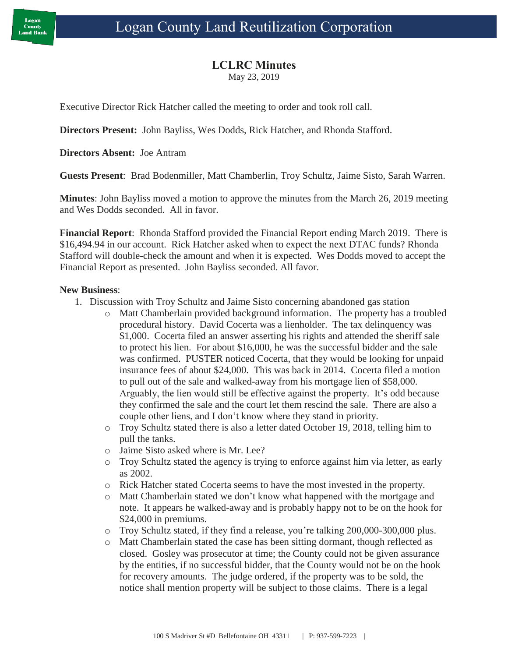### **LCLRC Minutes**

May 23, 2019

Executive Director Rick Hatcher called the meeting to order and took roll call.

**Directors Present:** John Bayliss, Wes Dodds, Rick Hatcher, and Rhonda Stafford.

**Directors Absent:** Joe Antram

**Guests Present**: Brad Bodenmiller, Matt Chamberlin, Troy Schultz, Jaime Sisto, Sarah Warren.

**Minutes**: John Bayliss moved a motion to approve the minutes from the March 26, 2019 meeting and Wes Dodds seconded. All in favor.

**Financial Report**: Rhonda Stafford provided the Financial Report ending March 2019. There is \$16,494.94 in our account. Rick Hatcher asked when to expect the next DTAC funds? Rhonda Stafford will double-check the amount and when it is expected. Wes Dodds moved to accept the Financial Report as presented. John Bayliss seconded. All favor.

#### **New Business**:

- 1. Discussion with Troy Schultz and Jaime Sisto concerning abandoned gas station
	- o Matt Chamberlain provided background information. The property has a troubled procedural history. David Cocerta was a lienholder. The tax delinquency was \$1,000. Cocerta filed an answer asserting his rights and attended the sheriff sale to protect his lien. For about \$16,000, he was the successful bidder and the sale was confirmed. PUSTER noticed Cocerta, that they would be looking for unpaid insurance fees of about \$24,000. This was back in 2014. Cocerta filed a motion to pull out of the sale and walked-away from his mortgage lien of \$58,000. Arguably, the lien would still be effective against the property. It's odd because they confirmed the sale and the court let them rescind the sale. There are also a couple other liens, and I don't know where they stand in priority.
	- o Troy Schultz stated there is also a letter dated October 19, 2018, telling him to pull the tanks.
	- o Jaime Sisto asked where is Mr. Lee?
	- o Troy Schultz stated the agency is trying to enforce against him via letter, as early as 2002.
	- o Rick Hatcher stated Cocerta seems to have the most invested in the property.
	- o Matt Chamberlain stated we don't know what happened with the mortgage and note. It appears he walked-away and is probably happy not to be on the hook for \$24,000 in premiums.
	- o Troy Schultz stated, if they find a release, you're talking 200,000-300,000 plus.
	- o Matt Chamberlain stated the case has been sitting dormant, though reflected as closed. Gosley was prosecutor at time; the County could not be given assurance by the entities, if no successful bidder, that the County would not be on the hook for recovery amounts. The judge ordered, if the property was to be sold, the notice shall mention property will be subject to those claims. There is a legal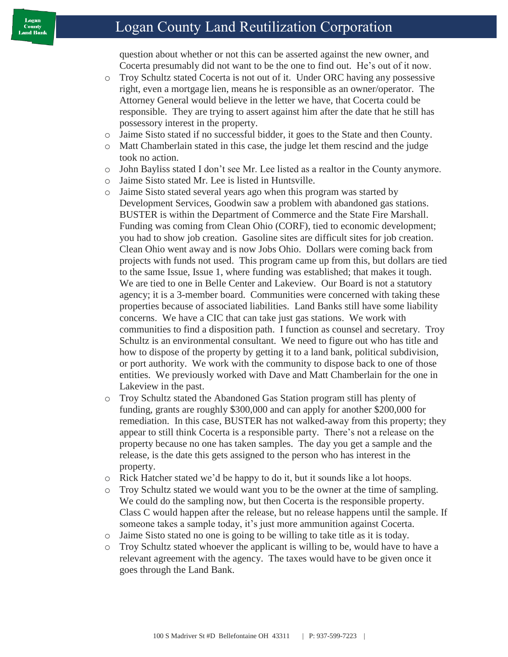## Logan County Land Reutilization Corporation

question about whether or not this can be asserted against the new owner, and Cocerta presumably did not want to be the one to find out. He's out of it now.

- o Troy Schultz stated Cocerta is not out of it. Under ORC having any possessive right, even a mortgage lien, means he is responsible as an owner/operator. The Attorney General would believe in the letter we have, that Cocerta could be responsible. They are trying to assert against him after the date that he still has possessory interest in the property.
- o Jaime Sisto stated if no successful bidder, it goes to the State and then County.
- o Matt Chamberlain stated in this case, the judge let them rescind and the judge took no action.
- o John Bayliss stated I don't see Mr. Lee listed as a realtor in the County anymore.
- o Jaime Sisto stated Mr. Lee is listed in Huntsville.
- o Jaime Sisto stated several years ago when this program was started by Development Services, Goodwin saw a problem with abandoned gas stations. BUSTER is within the Department of Commerce and the State Fire Marshall. Funding was coming from Clean Ohio (CORF), tied to economic development; you had to show job creation. Gasoline sites are difficult sites for job creation. Clean Ohio went away and is now Jobs Ohio. Dollars were coming back from projects with funds not used. This program came up from this, but dollars are tied to the same Issue, Issue 1, where funding was established; that makes it tough. We are tied to one in Belle Center and Lakeview. Our Board is not a statutory agency; it is a 3-member board. Communities were concerned with taking these properties because of associated liabilities. Land Banks still have some liability concerns. We have a CIC that can take just gas stations. We work with communities to find a disposition path. I function as counsel and secretary. Troy Schultz is an environmental consultant. We need to figure out who has title and how to dispose of the property by getting it to a land bank, political subdivision, or port authority. We work with the community to dispose back to one of those entities. We previously worked with Dave and Matt Chamberlain for the one in Lakeview in the past.
- o Troy Schultz stated the Abandoned Gas Station program still has plenty of funding, grants are roughly \$300,000 and can apply for another \$200,000 for remediation. In this case, BUSTER has not walked-away from this property; they appear to still think Cocerta is a responsible party. There's not a release on the property because no one has taken samples. The day you get a sample and the release, is the date this gets assigned to the person who has interest in the property.
- o Rick Hatcher stated we'd be happy to do it, but it sounds like a lot hoops.
- o Troy Schultz stated we would want you to be the owner at the time of sampling. We could do the sampling now, but then Cocerta is the responsible property. Class C would happen after the release, but no release happens until the sample. If someone takes a sample today, it's just more ammunition against Cocerta.
- o Jaime Sisto stated no one is going to be willing to take title as it is today.
- o Troy Schultz stated whoever the applicant is willing to be, would have to have a relevant agreement with the agency. The taxes would have to be given once it goes through the Land Bank.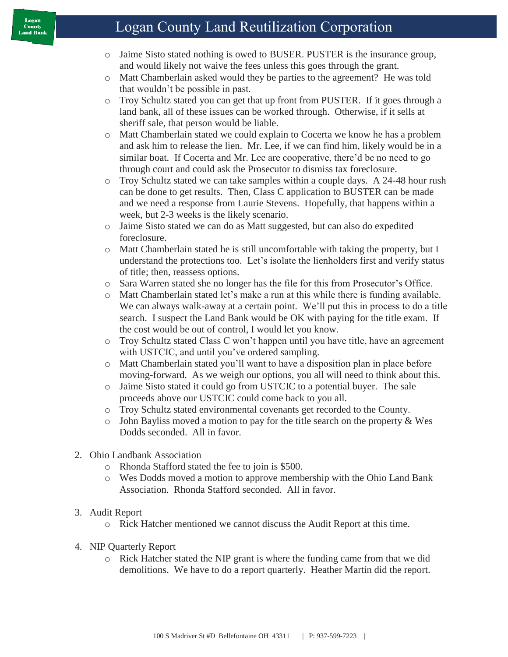# Logan County Land Reutilization Corporation

- o Jaime Sisto stated nothing is owed to BUSER. PUSTER is the insurance group, and would likely not waive the fees unless this goes through the grant.
- o Matt Chamberlain asked would they be parties to the agreement? He was told that wouldn't be possible in past.
- o Troy Schultz stated you can get that up front from PUSTER. If it goes through a land bank, all of these issues can be worked through. Otherwise, if it sells at sheriff sale, that person would be liable.
- o Matt Chamberlain stated we could explain to Cocerta we know he has a problem and ask him to release the lien. Mr. Lee, if we can find him, likely would be in a similar boat. If Cocerta and Mr. Lee are cooperative, there'd be no need to go through court and could ask the Prosecutor to dismiss tax foreclosure.
- o Troy Schultz stated we can take samples within a couple days. A 24-48 hour rush can be done to get results. Then, Class C application to BUSTER can be made and we need a response from Laurie Stevens. Hopefully, that happens within a week, but 2-3 weeks is the likely scenario.
- o Jaime Sisto stated we can do as Matt suggested, but can also do expedited foreclosure.
- o Matt Chamberlain stated he is still uncomfortable with taking the property, but I understand the protections too. Let's isolate the lienholders first and verify status of title; then, reassess options.
- o Sara Warren stated she no longer has the file for this from Prosecutor's Office.
- o Matt Chamberlain stated let's make a run at this while there is funding available. We can always walk-away at a certain point. We'll put this in process to do a title search. I suspect the Land Bank would be OK with paying for the title exam. If the cost would be out of control, I would let you know.
- o Troy Schultz stated Class C won't happen until you have title, have an agreement with USTCIC, and until you've ordered sampling.
- o Matt Chamberlain stated you'll want to have a disposition plan in place before moving-forward. As we weigh our options, you all will need to think about this.
- o Jaime Sisto stated it could go from USTCIC to a potential buyer. The sale proceeds above our USTCIC could come back to you all.
- o Troy Schultz stated environmental covenants get recorded to the County.
- $\circ$  John Bayliss moved a motion to pay for the title search on the property & Wes Dodds seconded. All in favor.
- 2. Ohio Landbank Association
	- o Rhonda Stafford stated the fee to join is \$500.
	- o Wes Dodds moved a motion to approve membership with the Ohio Land Bank Association. Rhonda Stafford seconded. All in favor.
- 3. Audit Report
	- o Rick Hatcher mentioned we cannot discuss the Audit Report at this time.
- 4. NIP Quarterly Report
	- o Rick Hatcher stated the NIP grant is where the funding came from that we did demolitions. We have to do a report quarterly. Heather Martin did the report.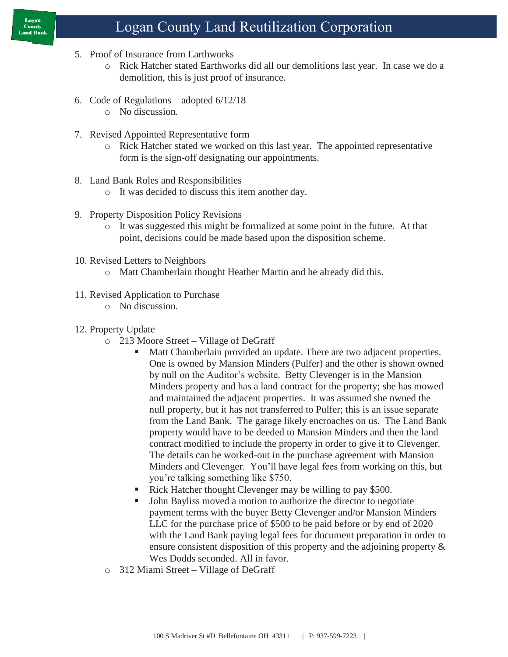# Logan County Land Reutilization Corporation

- 5. Proof of Insurance from Earthworks
	- o Rick Hatcher stated Earthworks did all our demolitions last year. In case we do a demolition, this is just proof of insurance.
- 6. Code of Regulations adopted 6/12/18
	- o No discussion.
- 7. Revised Appointed Representative form
	- o Rick Hatcher stated we worked on this last year. The appointed representative form is the sign-off designating our appointments.
- 8. Land Bank Roles and Responsibilities
	- o It was decided to discuss this item another day.
- 9. Property Disposition Policy Revisions
	- o It was suggested this might be formalized at some point in the future. At that point, decisions could be made based upon the disposition scheme.
- 10. Revised Letters to Neighbors
	- o Matt Chamberlain thought Heather Martin and he already did this.
- 11. Revised Application to Purchase
	- o No discussion.
- 12. Property Update
	- o 213 Moore Street Village of DeGraff
		- Matt Chamberlain provided an update. There are two adjacent properties. One is owned by Mansion Minders (Pulfer) and the other is shown owned by null on the Auditor's website. Betty Clevenger is in the Mansion Minders property and has a land contract for the property; she has mowed and maintained the adjacent properties. It was assumed she owned the null property, but it has not transferred to Pulfer; this is an issue separate from the Land Bank. The garage likely encroaches on us. The Land Bank property would have to be deeded to Mansion Minders and then the land contract modified to include the property in order to give it to Clevenger. The details can be worked-out in the purchase agreement with Mansion Minders and Clevenger. You'll have legal fees from working on this, but you're talking something like \$750.
		- Rick Hatcher thought Clevenger may be willing to pay \$500.
		- John Bayliss moved a motion to authorize the director to negotiate payment terms with the buyer Betty Clevenger and/or Mansion Minders LLC for the purchase price of \$500 to be paid before or by end of 2020 with the Land Bank paying legal fees for document preparation in order to ensure consistent disposition of this property and the adjoining property & Wes Dodds seconded. All in favor.
	- o 312 Miami Street Village of DeGraff